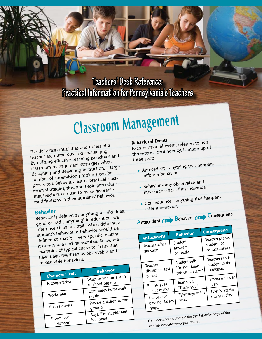**Teachers' Desk Reference: Practical Information for Pennsylvania's Teachers**

# **Classroom Managemen<sup>t</sup>**

The daily responsibilities and duties of a teacher are numerous and challenging. By utilizing effective teaching principles an<sup>d</sup> classroom management strategies when designing and delivering instruction, a large number of supervision problems can be prevented. Below is a list of practical classroom strategies, tips, and basic procedures that teachers can use to make favorable modifications in their students' behavior.

**Behavior**<br>Behavior is defined as anything a child does,<br>bing in education, we good or bad…anything! In education, we often use character traits when defining a student's behavior. A behavior should be defined so that it is very specific, making it observable and measurable. Below are examples of typical character traits that have been rewritten as observable and measurable behaviors.

|  |                                                   | <b>Behavior</b>                   |
|--|---------------------------------------------------|-----------------------------------|
|  | <b>Character Trait</b>                            | Waits in line for a turn          |
|  | Is cooperative                                    | to shoot baskets                  |
|  | Works hard                                        | Completes homework<br>on time     |
|  | <b>Bullies others</b><br>Shows low<br>self-esteem | Pushes children to the            |
|  |                                                   | ground<br>Says, "I'm stupid," and |
|  |                                                   | hits head                         |

### **Behavioral Events**

Each behavioral event, referred to as a three-term contingency, is made up of three parts:

• Antecedent - anything that happens

before a behavior.

• Behavior - any observable and<br>• Behavior - any observable and

- measurable act of an individual.
- Consequence anything that happens after a behavior.

## **A**ntecedent **Reference**

**Antecedent Behavior Consequence** Teacher asks a question. Student answers correctly. Teacher praises student for correct answer. Teacher distributes test papers. Student yells, "I'm not doing this stupid test!" Teacher sends student to the principal. Emma gives Juan a marker. Juan says, "Thank you." Emma smiles at Juan. The bell for passing classes rings. Tyler stays in his seat. Tyler is late for the next class.

*For more information, go the the Behavior page of the PaTTAN website: www.pattan.net.*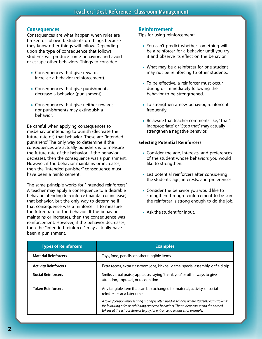#### **Consequences**

Consequences are what happen when rules are broken or followed. Students do things because they know other things will follow. Depending upon the type of consequence that follows, students will produce some behaviors and avoid or escape other behaviors. Things to consider:

- Consequences that give rewards increase a behavior (reinforcement).
- Consequences that give punishments decrease a behavior (punishment).
- Consequences that give neither rewards nor punishments may extinguish a behavior.

Be careful when applying consequences to misbehavior intending to punish (decrease the future rate of) that behavior. These are "intended punishers." The only way to determine if the consequences are actually punishers is to measure the future rate of the behavior. If the behavior decreases, then the consequence was a punishment. However, if the behavior maintains or increases, then the "intended punisher" consequence must have been a reinforcement.

The same principle works for "intended reinforcers." A teacher may apply a consequence to a desirable behavior intending to reinforce (maintain or increase) that behavior, but the only way to determine if that consequence was a reinforcer is to measure the future rate of the behavior. If the behavior maintains or increases, then the consequence was reinforcement. However, if the behavior decreases, then the "intended reinforcer" may actually have been a punishment.

#### **Reinforcement**

Tips for using reinforcement:

- You can't predict whether something will be a reinforcer for a behavior until you try it and observe its effect on the behavior.
- What may be a reinforcer for one student may not be reinforcing to other students.
- To be effective, a reinforcer must occur during or immediately following the behavior to be strengthened.
- To strengthen a new behavior, reinforce it frequently.
- Be aware that teacher comments like, "That's inappropriate" or "Stop that" may actually strengthen a negative behavior.

#### **Selecting Potential Reinforcers**

- Consider the age, interests, and preferences of the student whose behaviors you would like to strengthen.
- List potential reinforcers after considering the student's age, interests, and preferences.
- Consider the behavior you would like to strengthen through reinforcement to be sure the reinforcer is strong enough to do the job.
- Ask the student for input.

| <b>Types of Reinforcers</b> | <b>Examples</b>                                                                                                                                                                                                                                                 |
|-----------------------------|-----------------------------------------------------------------------------------------------------------------------------------------------------------------------------------------------------------------------------------------------------------------|
| <b>Material Reinforcers</b> | Toys, food, pencils, or other tangible items                                                                                                                                                                                                                    |
| <b>Activity Reinforcers</b> | Extra recess, extra classroom jobs, kickball game, special assembly, or field trip                                                                                                                                                                              |
| <b>Social Reinforcers</b>   | Smile, verbal praise, applause, saying "thank you" or other ways to give<br>attention, approval, or recognition                                                                                                                                                 |
| <b>Token Reinforcers</b>    | Any tangible item that can be exchanged for material, activity, or social<br>reinforcers at a later time                                                                                                                                                        |
|                             | A token/coupon representing money is often used in schools where students earn "tokens"<br>for following rules or exhibiting expected behaviors. The student can spend the earned<br>tokens at the school store or to pay for entrance to a dance, for example. |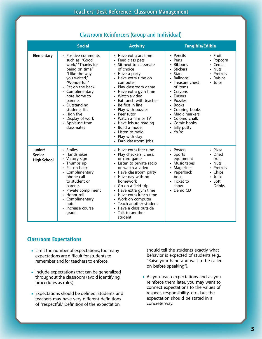| <b>Social</b>                                  |                                                                                                                                                                                                                                                                                                            | <b>Activity</b>                                                                                                                                                                                                                                                                                                                                                                                                                       | <b>Tangible/Edible</b>                                                                                                                                                                                                                                                                                                                                                                |  |
|------------------------------------------------|------------------------------------------------------------------------------------------------------------------------------------------------------------------------------------------------------------------------------------------------------------------------------------------------------------|---------------------------------------------------------------------------------------------------------------------------------------------------------------------------------------------------------------------------------------------------------------------------------------------------------------------------------------------------------------------------------------------------------------------------------------|---------------------------------------------------------------------------------------------------------------------------------------------------------------------------------------------------------------------------------------------------------------------------------------------------------------------------------------------------------------------------------------|--|
| Elementary                                     | • Positive comments,<br>such as: "Good<br>work," "Thanks for<br>being on time,"<br>"I like the way<br>you waited,"<br>"Wonderful!"<br>• Pat on the back<br>• Complimentary<br>note home to<br>parents<br>• Outstanding<br>students list<br>• High five<br>Display of work<br>• Applause from<br>classmates | • Have extra art time<br>• Feed class pets<br>• Sit next to classmate<br>of choice<br>• Have a party<br>• Have extra time on<br>computer<br>• Play classroom game<br>• Have extra gym time<br>• Watch a video<br>Eat lunch with teacher<br>• Be first in line<br>• Play with puzzles<br>• Peer tutor<br>• Watch a film or TV<br>• Have leisure reading<br>Build a model<br>Listen to radio<br>Play with clay<br>• Earn classroom jobs | • Pencils<br>• Fruit<br>$\cdot$ Pens<br>• Popcorn<br>Ribbons<br>• Cereal<br><b>Stickers</b><br><b>Nuts</b><br><b>Stars</b><br>• Pretzels<br><b>Balloons</b><br>• Raisins<br>• Treasure chest<br>• Juice<br>of items<br>• Crayons<br>• Erasers<br>Puzzles<br><b>Books</b><br>• Coloring books<br>• Magic markers<br>• Colored chalk<br>• Comic books<br>• Silly putty<br>$\cdot$ Yo Yo |  |
| Junior/<br><b>Senior</b><br><b>High School</b> | • Smiles<br>Handshakes<br>Victory sign<br>• Thumbs up<br>Pat on back<br>• Complimentary<br>phone call<br>to student or<br>parents<br>• Private compliment<br>• Honor roll<br>• Complimentary<br>note<br>• Increase course<br>grade                                                                         | • Have extra free time<br>• Play checkers, chess,<br>or card game<br>• Listen to private radio<br>or watch a video<br>• Have classroom party<br>• Have day with no<br>homework<br>• Go on a field trip<br>• Have extra gym time<br>• Have extra lunch time<br>• Work on computer<br>Teach another student<br>• Have a class outside<br>• Talk to another<br>student                                                                   | • Posters<br>• Pizza<br>• Dried<br>$\cdot$ Sports<br>fruit<br>equipment<br>• Nuts<br>• Music tapes<br>Magazines<br>Pretzels<br>• Paperback<br>• Chips<br>book<br>• Juice<br>$\cdot$ Soft<br>• Ticket to<br>Drinks<br>show<br>• Demo CD                                                                                                                                                |  |

#### **Classroom Reinforcers (Group and Individual)**

#### **Classroom Expectations**

- Limit the number of expectations; too many expectations are difficult for students to remember and for teachers to enforce.
- Include expectations that can be generalized throughout the classroom (avoid identifying procedures as rules).
- Expectations should be defined. Students and teachers may have very different definitions of "respectful." Definition of the expectation

should tell the students exactly what behavior is expected of students (e.g., "Raise your hand and wait to be called on before speaking").

• As you teach expectations and as you reinforce them later, you may want to connect expectations to the values of respect, responsibility, etc., but the expectation should be stated in a concrete way.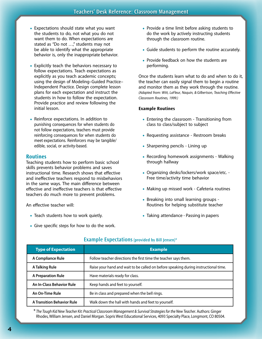- Expectations should state what you want the students to do, not what you do not want them to do. When expectations are stated as "Do not …," students may not be able to identify what the appropriate behavior is, only the inappropriate behavior.
- Explicitly teach the behaviors necessary to follow expectations. Teach expectations as explicitly as you teach academic concepts; using the design of Modeling–Guided Practice– Independent Practice. Design complete lesson plans for each expectation and instruct the students in how to follow the expectation. Provide practice and review following the initial lesson.
- Reinforce expectations. In addition to punishing consequences for when students do not follow expectations, teachers must provide reinforcing consequences for when students do meet expectations. Reinforcers may be tangible/ edible, social, or activity-based.

#### **Routines**

Teaching students how to perform basic school skills prevents behavior problems and saves instructional time. Research shows that effective and ineffective teachers respond to misbehaviors in the same ways. The main difference between effective and ineffective teachers is that effective teachers do much more to prevent problems.

An effective teacher will:

- Teach students how to work quietly.
- Give specific steps for how to do the work.
- Provide a time limit before asking students to do the work by actively instructing students through the classroom routine.
- Guide students to perform the routine accurately.
- Provide feedback on how the students are performing.

Once the students learn what to do and when to do it, the teacher can easily signal them to begin a routine and monitor them as they work through the routine. *(Adapted from: Witt, LaFleur, Naquin, & Gilbertson, Teaching Effective Classroom Routines, 1999.)*

#### **Example Routines**

- Entering the classroom Transitioning from class to class/subject to subject
- Requesting assistance Restroom breaks
- Sharpening pencils Lining up
- Recording homework assignments Walking through hallway
- • Organizing desks/lockers/work space/etc. Free time/activity time behavior
- Making up missed work Cafeteria routines
- Breaking into small learning groups Routines for helping substitute teacher
- Taking attendance Passing in papers

| <b>Type of Expectation</b>        | <b>Example</b>                                                                      |
|-----------------------------------|-------------------------------------------------------------------------------------|
| A Compliance Rule                 | Follow teacher directions the first time the teacher says them.                     |
| A Talking Rule                    | Raise your hand and wait to be called on before speaking during instructional time. |
| <b>A Preparation Rule</b>         | Have materials ready for class.                                                     |
| An In-Class Behavior Rule         | Keep hands and feet to yourself.                                                    |
| An On-Time Rule                   | Be in class and prepared when the bell rings.                                       |
| <b>A Transition Behavior Rule</b> | Walk down the hall with hands and feet to yourself.                                 |

#### **Example Expectations (provided by Bill Jensen)\***

\* *The Tough Kid New Teacher Kit: Practical Classroom Management & Survival Strategies for the New Teacher*. Authors: Ginger Rhodes, William Jensen, and Daniel Morgan. Sopris West Educational Services, 4093 Specialty Place, Longmont, CO 80504.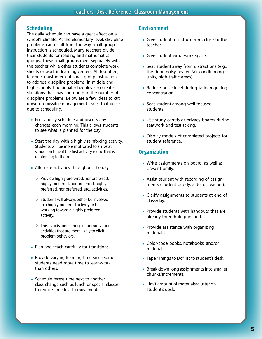#### **Scheduling**

The daily schedule can have a great effect on a school's climate. At the elementary level, discipline problems can result from the way small-group instruction is scheduled. Many teachers divide their students for reading and mathematics groups. These small groups meet separately with the teacher while other students complete worksheets or work in learning centers. All too often, teachers must interrupt small-group instruction to address discipline problems. In middle and high schools, traditional schedules also create situations that may contribute to the number of discipline problems. Below are a few ideas to cut down on possible management issues that occur due to scheduling.

- Post a daily schedule and discuss any changes each morning. This allows students to see what is planned for the day.
- Start the day with a highly reinforcing activity. Students will be more motivated to arrive at school on time if the first activity is one that is reinforcing to them.
- Alternate activities throughout the day.
	- $\Diamond$  Provide highly preferred, nonpreferred, highly preferred, nonpreferred, highly preferred, nonpreferred, etc., activities.
	- $\Diamond$  Students will always either be involved in a highly preferred activity or be working toward a highly preferred activity.
	- $\Diamond$  This avoids long strings of unmotivating activities that are more likely to elicit problem behaviors.
- Plan and teach carefully for transitions.
- Provide varying learning time since some students need more time to learn/work than others.
- Schedule recess time next to another class change such as lunch or special classes to reduce time lost to movement.

#### **Environment**

- Give student a seat up front, close to the teacher.
- Give student extra work space.
- Seat student away from distractions (e.g., the door, noisy heaters/air conditioning units, high-traffic areas).
- Reduce noise level during tasks requiring concentration.
- Seat student among well-focused students.
- Use study carrels or privacy boards during seatwork and test-taking.
- Display models of completed projects for student reference.

#### **Organization**

- Write assignments on board, as well as present orally.
- Assist student with recording of assignments (student buddy, aide, or teacher).
- Clarify assignments to students at end of class/day.
- Provide students with handouts that are already three-hole punched.
- Provide assistance with organizing materials.
- Color-code books, notebooks, and/or materials.
- Tape "Things to Do" list to student's desk.
- Break down long assignments into smaller chunks/increments.
- Limit amount of materials/clutter on student's desk.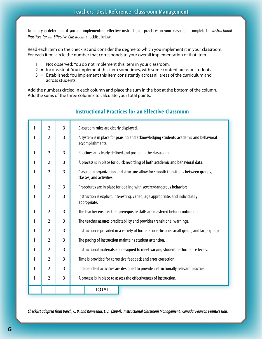To help you determine if you are implementing effective instructional practices in your classroom, complete the *Instructional Practices for an Effective Classroom* checklist below.

Read each item on the checklist and consider the degree to which you implement it in your classroom. For each item, circle the number that corresponds to your overall implementation of that item.

- $1 =$  Not observed: You do not implement this item in your classroom.
- 2 = Inconsistent: You implement this item sometimes, with some content areas or students.
- $3 =$  Established: You implement this item consistently across all areas of the curriculum and across students.

Add the numbers circled in each column and place the sum in the box at the bottom of the column. Add the sums of the three columns to calculate your total points.

| 1 | $\overline{2}$ | 3              | Classroom rules are clearly displayed.                                                                        |  |  |
|---|----------------|----------------|---------------------------------------------------------------------------------------------------------------|--|--|
| 1 | 2              | 3              | A system is in place for praising and acknowledging students' academic and behavioral<br>accomplishments.     |  |  |
| 1 | $\overline{2}$ | 3              | Routines are clearly defined and posted in the classroom.                                                     |  |  |
| 1 | $\overline{2}$ | 3              | A process is in place for quick recording of both academic and behavioral data.                               |  |  |
| 1 | $\overline{2}$ | 3              | Classroom organization and structure allow for smooth transitions between groups,<br>classes, and activities. |  |  |
| 1 | $\overline{2}$ | $\overline{3}$ | Procedures are in place for dealing with severe/dangerous behaviors.                                          |  |  |
| 1 | $\overline{2}$ | 3              | Instruction is explicit, interesting, varied, age appropriate, and individually<br>appropriate.               |  |  |
| 1 | $\overline{2}$ | $\overline{3}$ | The teacher ensures that prerequisite skills are mastered before continuing.                                  |  |  |
| 1 | $\overline{2}$ | $\overline{3}$ | The teacher assures predictability and provides transitional warnings.                                        |  |  |
| 1 | $\overline{2}$ | 3              | Instruction is provided in a variety of formats: one-to-one, small group, and large group.                    |  |  |
| 1 | $\overline{2}$ | 3              | The pacing of instruction maintains student attention.                                                        |  |  |
| 1 | $\overline{2}$ | 3              | Instructional materials are designed to meet varying student performance levels.                              |  |  |
| 1 | 2              | 3              | Time is provided for corrective feedback and error correction.                                                |  |  |
| 1 | 2              | 3              | Independent activities are designed to provide instructionally relevant practice.                             |  |  |
| 1 | $\overline{2}$ | 3              | A process is in place to assess the effectiveness of instruction.                                             |  |  |
|   |                |                | <b>TOTAL</b>                                                                                                  |  |  |

#### **Instructional Practices for an Effective Classroom**

*Checklist adapted from Darch, C. B. and Kameenui, E. J. (2004). Instructional Classroom Management. Canada: Pearson Prentice Hall.*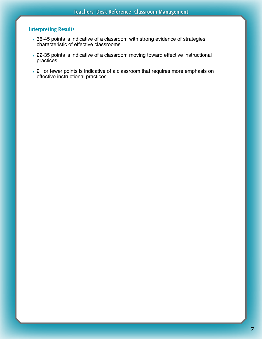#### **Interpreting Results**

- 36-45 points is indicative of a classroom with strong evidence of strategies characteristic of effective classrooms
- 22-35 points is indicative of a classroom moving toward effective instructional practices
- 21 or fewer points is indicative of a classroom that requires more emphasis on effective instructional practices